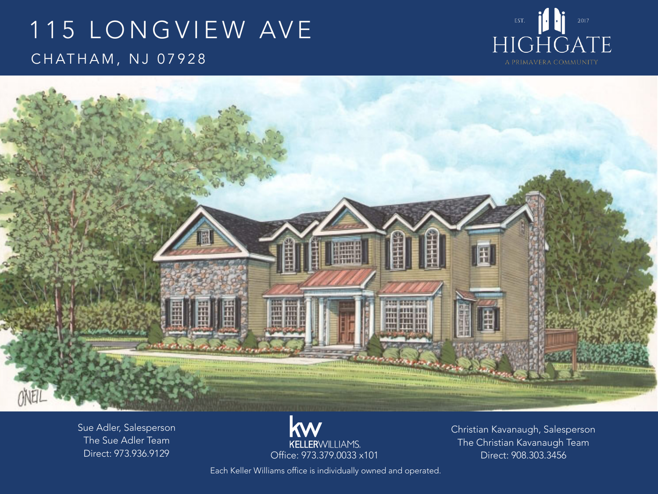# 115 LONGVIEW AVE CHATHAM, NJ 07928





Sue Adler, Salesperson The Sue Adler Team Direct: 973.936.9129

**KELLER**WILLIAMS.

Christian Kavanaugh, Salesperson The Christian Kavanaugh Team Office: 973.379.0033 x101 Direct: 908.303.3456

Each Keller Williams office is individually owned and operated.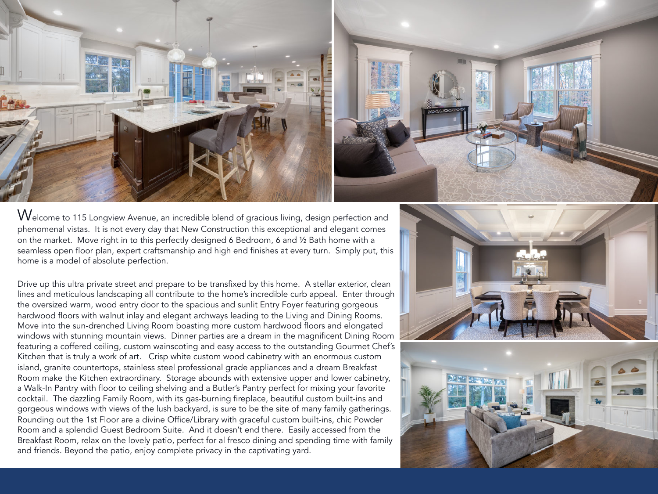

 $\rm{W}$ elcome to 115 Longview Avenue, an incredible blend of gracious living, design perfection and phenomenal vistas. It is not every day that New Construction this exceptional and elegant comes on the market. Move right in to this perfectly designed 6 Bedroom, 6 and ½ Bath home with a seamless open floor plan, expert craftsmanship and high end finishes at every turn. Simply put, this home is a model of absolute perfection.

Drive up this ultra private street and prepare to be transfixed by this home. A stellar exterior, clean lines and meticulous landscaping all contribute to the home's incredible curb appeal. Enter through the oversized warm, wood entry door to the spacious and sunlit Entry Foyer featuring gorgeous hardwood floors with walnut inlay and elegant archways leading to the Living and Dining Rooms. Move into the sun-drenched Living Room boasting more custom hardwood floors and elongated windows with stunning mountain views. Dinner parties are a dream in the magnificent Dining Room featuring a coffered ceiling, custom wainscoting and easy access to the outstanding Gourmet Chef's Kitchen that is truly a work of art. Crisp white custom wood cabinetry with an enormous custom island, granite countertops, stainless steel professional grade appliances and a dream Breakfast Room make the Kitchen extraordinary. Storage abounds with extensive upper and lower cabinetry, a Walk-In Pantry with floor to ceiling shelving and a Butler's Pantry perfect for mixing your favorite cocktail. The dazzling Family Room, with its gas-burning fireplace, beautiful custom built-ins and gorgeous windows with views of the lush backyard, is sure to be the site of many family gatherings. Rounding out the 1st Floor are a divine Office/Library with graceful custom built-ins, chic Powder Room and a splendid Guest Bedroom Suite. And it doesn't end there. Easily accessed from the Breakfast Room, relax on the lovely patio, perfect for al fresco dining and spending time with family and friends. Beyond the patio, enjoy complete privacy in the captivating yard.



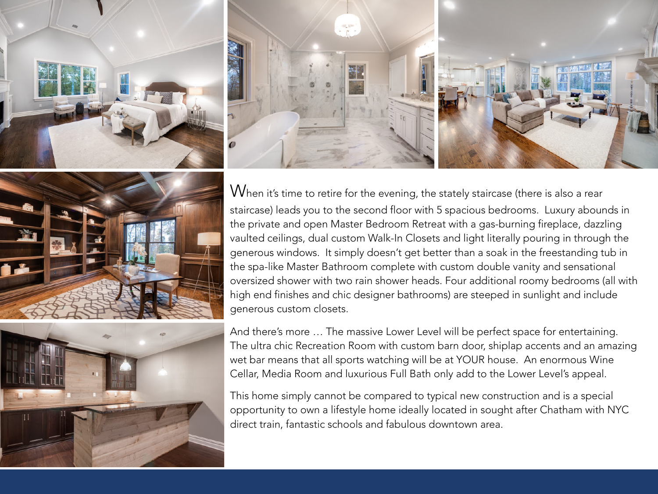







When it's time to retire for the evening, the stately staircase (there is also a rear staircase) leads you to the second floor with 5 spacious bedrooms. Luxury abounds in the private and open Master Bedroom Retreat with a gas-burning fireplace, dazzling vaulted ceilings, dual custom Walk-In Closets and light literally pouring in through the generous windows. It simply doesn't get better than a soak in the freestanding tub in the spa-like Master Bathroom complete with custom double vanity and sensational oversized shower with two rain shower heads. Four additional roomy bedrooms (all with high end finishes and chic designer bathrooms) are steeped in sunlight and include generous custom closets.

And there's more … The massive Lower Level will be perfect space for entertaining. The ultra chic Recreation Room with custom barn door, shiplap accents and an amazing wet bar means that all sports watching will be at YOUR house. An enormous Wine Cellar, Media Room and luxurious Full Bath only add to the Lower Level's appeal.

This home simply cannot be compared to typical new construction and is a special opportunity to own a lifestyle home ideally located in sought after Chatham with NYC direct train, fantastic schools and fabulous downtown area.